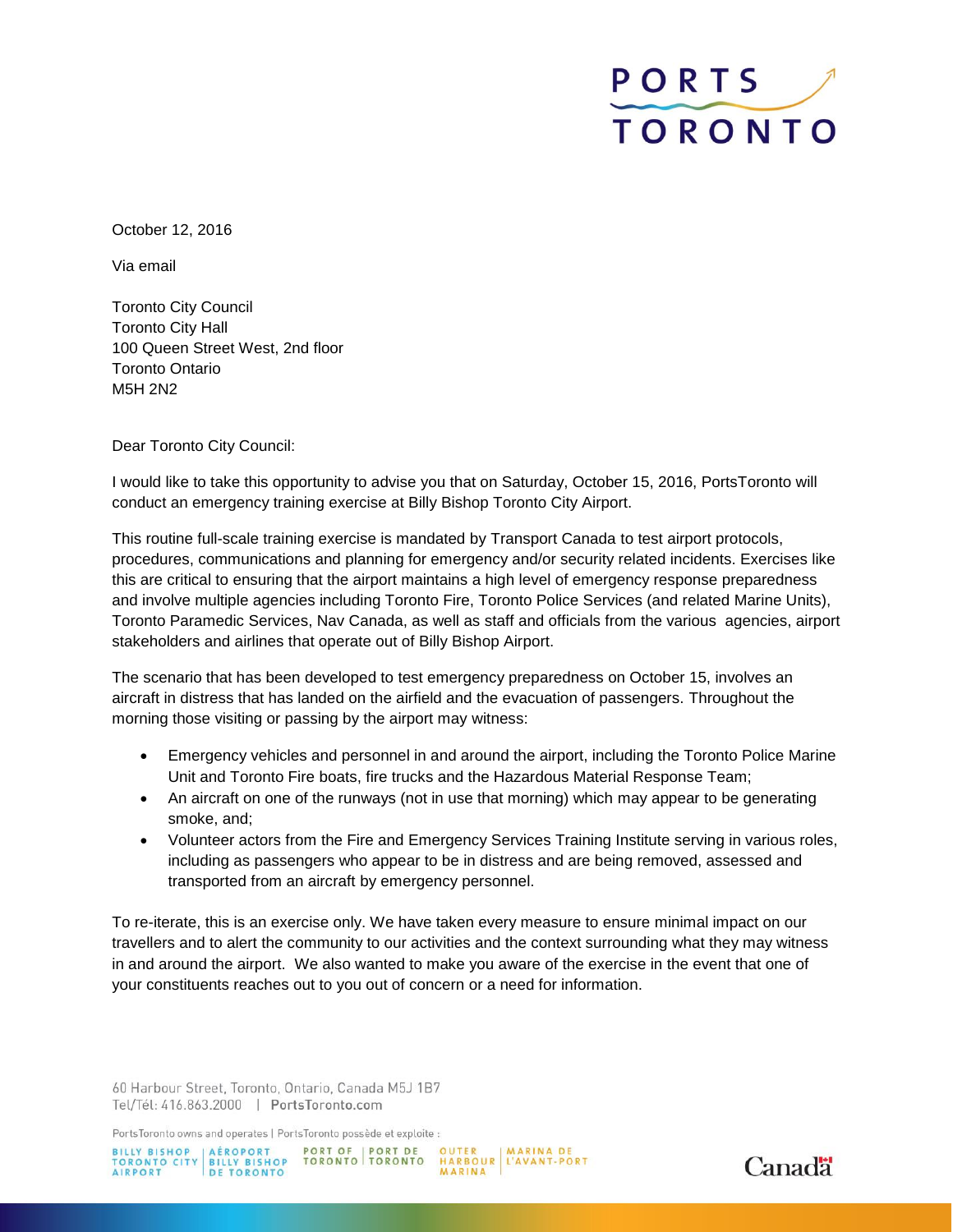## PORTS TORONTO

October 12, 2016

Via email

Toronto City Council Toronto City Hall 100 Queen Street West, 2nd floor Toronto Ontario M5H 2N2

Dear Toronto City Council:

I would like to take this opportunity to advise you that on Saturday, October 15, 2016, PortsToronto will conduct an emergency training exercise at Billy Bishop Toronto City Airport.

This routine full-scale training exercise is mandated by Transport Canada to test airport protocols, procedures, communications and planning for emergency and/or security related incidents. Exercises like this are critical to ensuring that the airport maintains a high level of emergency response preparedness and involve multiple agencies including Toronto Fire, Toronto Police Services (and related Marine Units), Toronto Paramedic Services, Nav Canada, as well as staff and officials from the various agencies, airport stakeholders and airlines that operate out of Billy Bishop Airport.

The scenario that has been developed to test emergency preparedness on October 15, involves an aircraft in distress that has landed on the airfield and the evacuation of passengers. Throughout the morning those visiting or passing by the airport may witness:

- Emergency vehicles and personnel in and around the airport, including the Toronto Police Marine Unit and Toronto Fire boats, fire trucks and the Hazardous Material Response Team;
- An aircraft on one of the runways (not in use that morning) which may appear to be generating smoke, and;
- Volunteer actors from the Fire and Emergency Services Training Institute serving in various roles, including as passengers who appear to be in distress and are being removed, assessed and transported from an aircraft by emergency personnel.

To re-iterate, this is an exercise only. We have taken every measure to ensure minimal impact on our travellers and to alert the community to our activities and the context surrounding what they may witness in and around the airport. We also wanted to make you aware of the exercise in the event that one of your constituents reaches out to you out of concern or a need for information.

60 Harbour Street, Toronto, Ontario, Canada M5J 1B7 Tel/Tél: 416.863.2000 | PortsToronto.com

PortsToronto owns and operates | PortsToronto possède et exploite :